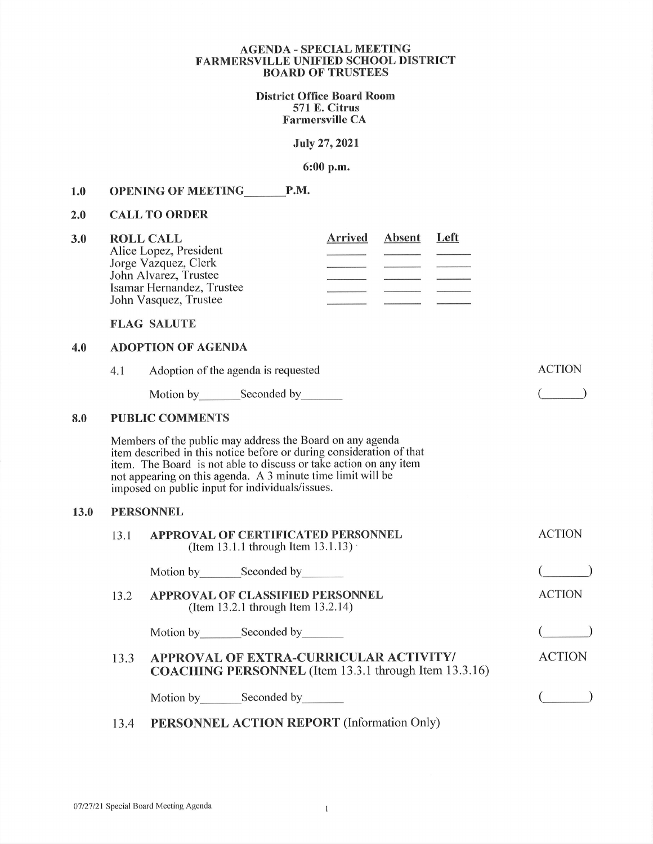### AGENDA - SPECIAL MEETING FARMERSVILLE UNIFIED SCHOOL DISTRICT BOARD OF TRUSTEES

District Office Board Room 571 E. Citrus Farmersville CA

July 27,2021

# 6:00 p.m.

### 1.0 OPENING OF MEETING P.M.

#### 2.0 CALL TO ORDER

| 3.0 | <b>ROLL CALL</b>          | <b>Arrived</b> | Absent | Left |
|-----|---------------------------|----------------|--------|------|
|     | Alice Lopez, President    |                |        |      |
|     | Jorge Vazquez, Clerk      |                |        |      |
|     | John Alvarez, Trustee     |                |        |      |
|     | Isamar Hernandez, Trustee |                |        |      |
|     | John Vasquez, Trustee     |                |        |      |

FLAG SALUTE

## 4.0 ADOPTION OF AGENDA

|      | 4.1              | Adoption of the agenda is requested                                                                                                                                                                                                                                                                                      | <b>ACTION</b> |  |  |  |  |  |  |
|------|------------------|--------------------------------------------------------------------------------------------------------------------------------------------------------------------------------------------------------------------------------------------------------------------------------------------------------------------------|---------------|--|--|--|--|--|--|
|      |                  | Motion by_________Seconded by________                                                                                                                                                                                                                                                                                    |               |  |  |  |  |  |  |
| 8.0  |                  | <b>PUBLIC COMMENTS</b>                                                                                                                                                                                                                                                                                                   |               |  |  |  |  |  |  |
|      |                  | Members of the public may address the Board on any agenda<br>item described in this notice before or during consideration of that<br>item. The Board is not able to discuss or take action on any item<br>not appearing on this agenda. A 3 minute time limit will be<br>imposed on public input for individuals/issues. |               |  |  |  |  |  |  |
| 13.0 | <b>PERSONNEL</b> |                                                                                                                                                                                                                                                                                                                          |               |  |  |  |  |  |  |
|      | 13.1             | APPROVAL OF CERTIFICATED PERSONNEL<br>(Item 13.1.1 through Item 13.1.13)                                                                                                                                                                                                                                                 | <b>ACTION</b> |  |  |  |  |  |  |
|      |                  | Motion by _________ Seconded by _________                                                                                                                                                                                                                                                                                |               |  |  |  |  |  |  |
|      | 13.2             | <b>APPROVAL OF CLASSIFIED PERSONNEL</b><br>(Item 13.2.1 through Item 13.2.14)                                                                                                                                                                                                                                            | <b>ACTION</b> |  |  |  |  |  |  |
|      |                  | Motion by _________ Seconded by _________                                                                                                                                                                                                                                                                                |               |  |  |  |  |  |  |
|      | 13.3             | <b>APPROVAL OF EXTRA-CURRICULAR ACTIVITY/</b><br><b>COACHING PERSONNEL</b> (Item 13.3.1 through Item 13.3.16)                                                                                                                                                                                                            | <b>ACTION</b> |  |  |  |  |  |  |
|      |                  | Motion by Seconded by                                                                                                                                                                                                                                                                                                    |               |  |  |  |  |  |  |
|      |                  | <b>DEDCOMMEL ACTION DEDODT</b> (L.C. , $\alpha$ )                                                                                                                                                                                                                                                                        |               |  |  |  |  |  |  |

# 13.4 PERSONNEL ACTION REPORT (Information Only)